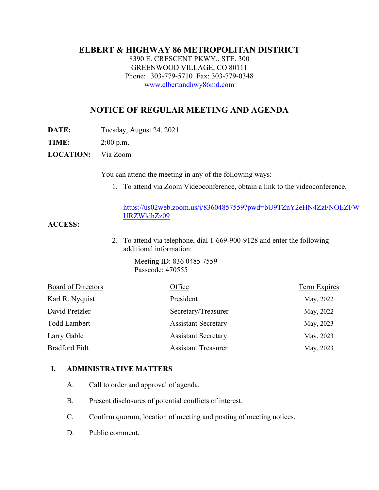#### **ELBERT & HIGHWAY 86 METROPOLITAN DISTRICT**

8390 E. CRESCENT PKWY., STE. 300 GREENWOOD VILLAGE, CO 80111 Phone: 303-779-5710 Fax: 303-779-0348 [www.elbertandhwy86md.com](http://www.elbertandhwy86md.com/) 

# **NOTICE OF REGULAR MEETING AND AGENDA**

**DATE:** Tuesday, August 24, 2021

**TIME:** 2:00 p.m.

**LOCATION:** Via Zoom

You can attend the meeting in any of the following ways:

1. To attend via Zoom Videoconference, obtain a link to the videoconference.

#### [https://us02web.zoom.us/j/83604857559?pwd=bU9TZnY2eHN4ZzFNOEZFW](https://nam11.safelinks.protection.outlook.com/?url=https%3A%2F%2Fus02web.zoom.us%2Fj%2F83604857559%3Fpwd%3DbU9TZnY2eHN4ZzFNOEZFWURZWldhZz09&data=04%7C01%7Crachel.alles%40claconnect.com%7Ca2bf692532b34ff82bdd08d960e21c97%7C4aaa468e93ba4ee3ab9f6a247aa3ade0%7C0%7C0%7C637647346526493142%7CUnknown%7CTWFpbGZsb3d8eyJWIjoiMC4wLjAwMDAiLCJQIjoiV2luMzIiLCJBTiI6Ik1haWwiLCJXVCI6Mn0%3D%7C1000&sdata=ncOpyMpM8UL1mmw2iac1ZAOt%2Fl080FvBZz60%2FpSwcpE%3D&reserved=0) [URZWldhZz09](https://nam11.safelinks.protection.outlook.com/?url=https%3A%2F%2Fus02web.zoom.us%2Fj%2F83604857559%3Fpwd%3DbU9TZnY2eHN4ZzFNOEZFWURZWldhZz09&data=04%7C01%7Crachel.alles%40claconnect.com%7Ca2bf692532b34ff82bdd08d960e21c97%7C4aaa468e93ba4ee3ab9f6a247aa3ade0%7C0%7C0%7C637647346526493142%7CUnknown%7CTWFpbGZsb3d8eyJWIjoiMC4wLjAwMDAiLCJQIjoiV2luMzIiLCJBTiI6Ik1haWwiLCJXVCI6Mn0%3D%7C1000&sdata=ncOpyMpM8UL1mmw2iac1ZAOt%2Fl080FvBZz60%2FpSwcpE%3D&reserved=0)

**ACCESS:**

2. To attend via telephone, dial 1-669-900-9128 and enter the following additional information:

> Meeting ID: 836 0485 7559 Passcode: 470555

| <b>Board of Directors</b> | Office                     | <b>Term Expires</b> |
|---------------------------|----------------------------|---------------------|
| Karl R. Nyquist           | President                  | May, 2022           |
| David Pretzler            | Secretary/Treasurer        | May, 2022           |
| <b>Todd Lambert</b>       | <b>Assistant Secretary</b> | May, 2023           |
| Larry Gable               | <b>Assistant Secretary</b> | May, 2023           |
| <b>Bradford Eidt</b>      | <b>Assistant Treasurer</b> | May, 2023           |

#### **I. ADMINISTRATIVE MATTERS**

- A. Call to order and approval of agenda.
- B. Present disclosures of potential conflicts of interest.
- C. Confirm quorum, location of meeting and posting of meeting notices.
- D. Public comment.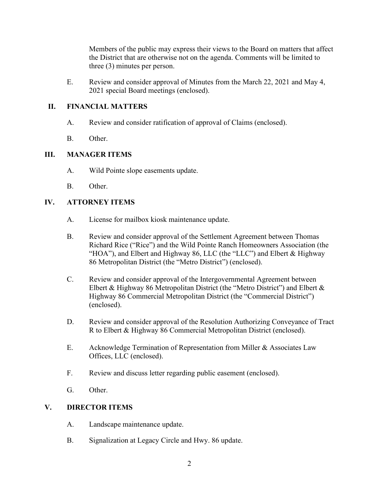Members of the public may express their views to the Board on matters that affect the District that are otherwise not on the agenda. Comments will be limited to three (3) minutes per person.

E. Review and consider approval of Minutes from the March 22, 2021 and May 4, 2021 special Board meetings (enclosed).

### **II. FINANCIAL MATTERS**

- A. Review and consider ratification of approval of Claims (enclosed).
- B. Other.

## **III. MANAGER ITEMS**

- A. Wild Pointe slope easements update.
- B. Other.

## **IV. ATTORNEY ITEMS**

- A. License for mailbox kiosk maintenance update.
- B. Review and consider approval of the Settlement Agreement between Thomas Richard Rice ("Rice") and the Wild Pointe Ranch Homeowners Association (the "HOA"), and Elbert and Highway 86, LLC (the "LLC") and Elbert & Highway 86 Metropolitan District (the "Metro District") (enclosed).
- C. Review and consider approval of the Intergovernmental Agreement between Elbert & Highway 86 Metropolitan District (the "Metro District") and Elbert & Highway 86 Commercial Metropolitan District (the "Commercial District") (enclosed).
- D. Review and consider approval of the Resolution Authorizing Conveyance of Tract R to Elbert & Highway 86 Commercial Metropolitan District (enclosed).
- E. Acknowledge Termination of Representation from Miller & Associates Law Offices, LLC (enclosed).
- F. Review and discuss letter regarding public easement (enclosed).
- G. Other.

#### **V. DIRECTOR ITEMS**

- A. Landscape maintenance update.
- B. Signalization at Legacy Circle and Hwy. 86 update.